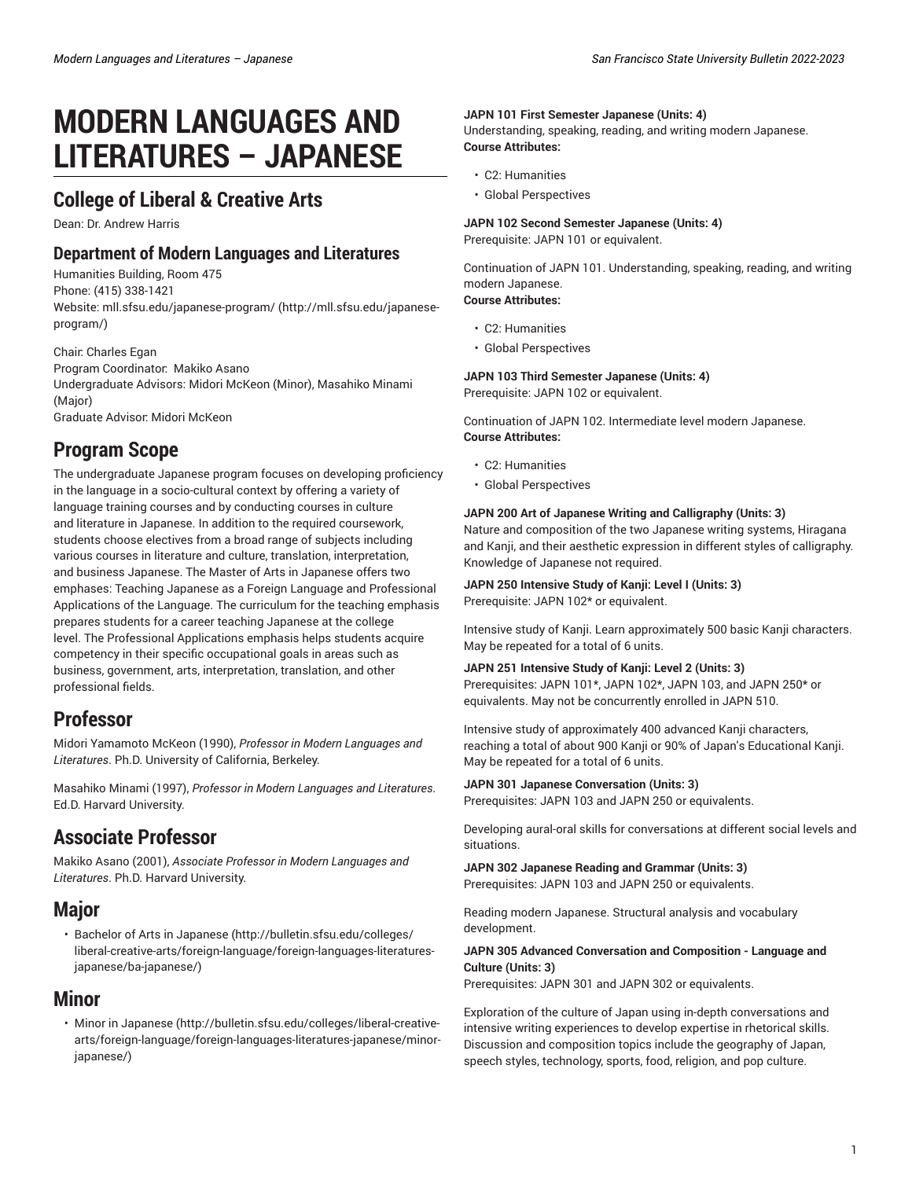# **MODERN LANGUAGES AND LITERATURES – JAPANESE**

### **College of Liberal & Creative Arts**

Dean: Dr. Andrew Harris

### **Department of Modern Languages and Literatures**

Humanities Building, Room 475

Phone: (415) 338-1421

Website: [mll.sfsu.edu/japanese-program/](http://mll.sfsu.edu/japanese-program/) ([http://mll.sfsu.edu/japanese](http://mll.sfsu.edu/japanese-program/)[program/\)](http://mll.sfsu.edu/japanese-program/)

Chair: Charles Egan Program Coordinator: Makiko Asano Undergraduate Advisors: Midori McKeon (Minor), Masahiko Minami (Major) Graduate Advisor: Midori McKeon

# **Program Scope**

The undergraduate Japanese program focuses on developing proficiency in the language in a socio-cultural context by offering a variety of language training courses and by conducting courses in culture and literature in Japanese. In addition to the required coursework, students choose electives from a broad range of subjects including various courses in literature and culture, translation, interpretation, and business Japanese. The Master of Arts in Japanese offers two emphases: Teaching Japanese as a Foreign Language and Professional Applications of the Language. The curriculum for the teaching emphasis prepares students for a career teaching Japanese at the college level. The Professional Applications emphasis helps students acquire competency in their specific occupational goals in areas such as business, government, arts, interpretation, translation, and other professional fields.

# **Professor**

Midori Yamamoto McKeon (1990), *Professor in Modern Languages and Literatures*. Ph.D. University of California, Berkeley.

Masahiko Minami (1997), *Professor in Modern Languages and Literatures*. Ed.D. Harvard University.

# **Associate Professor**

Makiko Asano (2001), *Associate Professor in Modern Languages and Literatures*. Ph.D. Harvard University.

### **Major**

• Bachelor of Arts in [Japanese](http://bulletin.sfsu.edu/colleges/liberal-creative-arts/foreign-language/foreign-languages-literatures-japanese/ba-japanese/) [\(http://bulletin.sfsu.edu/colleges/](http://bulletin.sfsu.edu/colleges/liberal-creative-arts/foreign-language/foreign-languages-literatures-japanese/ba-japanese/) [liberal-creative-arts/foreign-language/foreign-languages-literatures](http://bulletin.sfsu.edu/colleges/liberal-creative-arts/foreign-language/foreign-languages-literatures-japanese/ba-japanese/)[japanese/ba-japanese/\)](http://bulletin.sfsu.edu/colleges/liberal-creative-arts/foreign-language/foreign-languages-literatures-japanese/ba-japanese/)

### **Minor**

• [Minor in Japanese](http://bulletin.sfsu.edu/colleges/liberal-creative-arts/foreign-language/foreign-languages-literatures-japanese/minor-japanese/) ([http://bulletin.sfsu.edu/colleges/liberal-creative](http://bulletin.sfsu.edu/colleges/liberal-creative-arts/foreign-language/foreign-languages-literatures-japanese/minor-japanese/)[arts/foreign-language/foreign-languages-literatures-japanese/minor](http://bulletin.sfsu.edu/colleges/liberal-creative-arts/foreign-language/foreign-languages-literatures-japanese/minor-japanese/)[japanese/\)](http://bulletin.sfsu.edu/colleges/liberal-creative-arts/foreign-language/foreign-languages-literatures-japanese/minor-japanese/)

#### **JAPN 101 First Semester Japanese (Units: 4)**

Understanding, speaking, reading, and writing modern Japanese. **Course Attributes:**

- C2: Humanities
- Global Perspectives

#### **JAPN 102 Second Semester Japanese (Units: 4)** Prerequisite: JAPN 101 or equivalent.

Continuation of JAPN 101. Understanding, speaking, reading, and writing modern Japanese. **Course Attributes:**

#### • C2: Humanities

• Global Perspectives

**JAPN 103 Third Semester Japanese (Units: 4)** Prerequisite: JAPN 102 or equivalent.

Continuation of JAPN 102. Intermediate level modern Japanese. **Course Attributes:**

- C2: Humanities
- Global Perspectives

#### **JAPN 200 Art of Japanese Writing and Calligraphy (Units: 3)**

Nature and composition of the two Japanese writing systems, Hiragana and Kanji, and their aesthetic expression in different styles of calligraphy. Knowledge of Japanese not required.

**JAPN 250 Intensive Study of Kanji: Level I (Units: 3)** Prerequisite: JAPN 102\* or equivalent.

Intensive study of Kanji. Learn approximately 500 basic Kanji characters. May be repeated for a total of 6 units.

#### **JAPN 251 Intensive Study of Kanji: Level 2 (Units: 3)**

Prerequisites: JAPN 101\*, JAPN 102\*, JAPN 103, and JAPN 250\* or equivalents. May not be concurrently enrolled in JAPN 510.

Intensive study of approximately 400 advanced Kanji characters, reaching a total of about 900 Kanji or 90% of Japan's Educational Kanji. May be repeated for a total of 6 units.

**JAPN 301 Japanese Conversation (Units: 3)** Prerequisites: JAPN 103 and JAPN 250 or equivalents.

Developing aural-oral skills for conversations at different social levels and situations.

#### **JAPN 302 Japanese Reading and Grammar (Units: 3)** Prerequisites: JAPN 103 and JAPN 250 or equivalents.

Reading modern Japanese. Structural analysis and vocabulary development.

#### **JAPN 305 Advanced Conversation and Composition - Language and Culture (Units: 3)**

Prerequisites: JAPN 301 and JAPN 302 or equivalents.

Exploration of the culture of Japan using in-depth conversations and intensive writing experiences to develop expertise in rhetorical skills. Discussion and composition topics include the geography of Japan, speech styles, technology, sports, food, religion, and pop culture.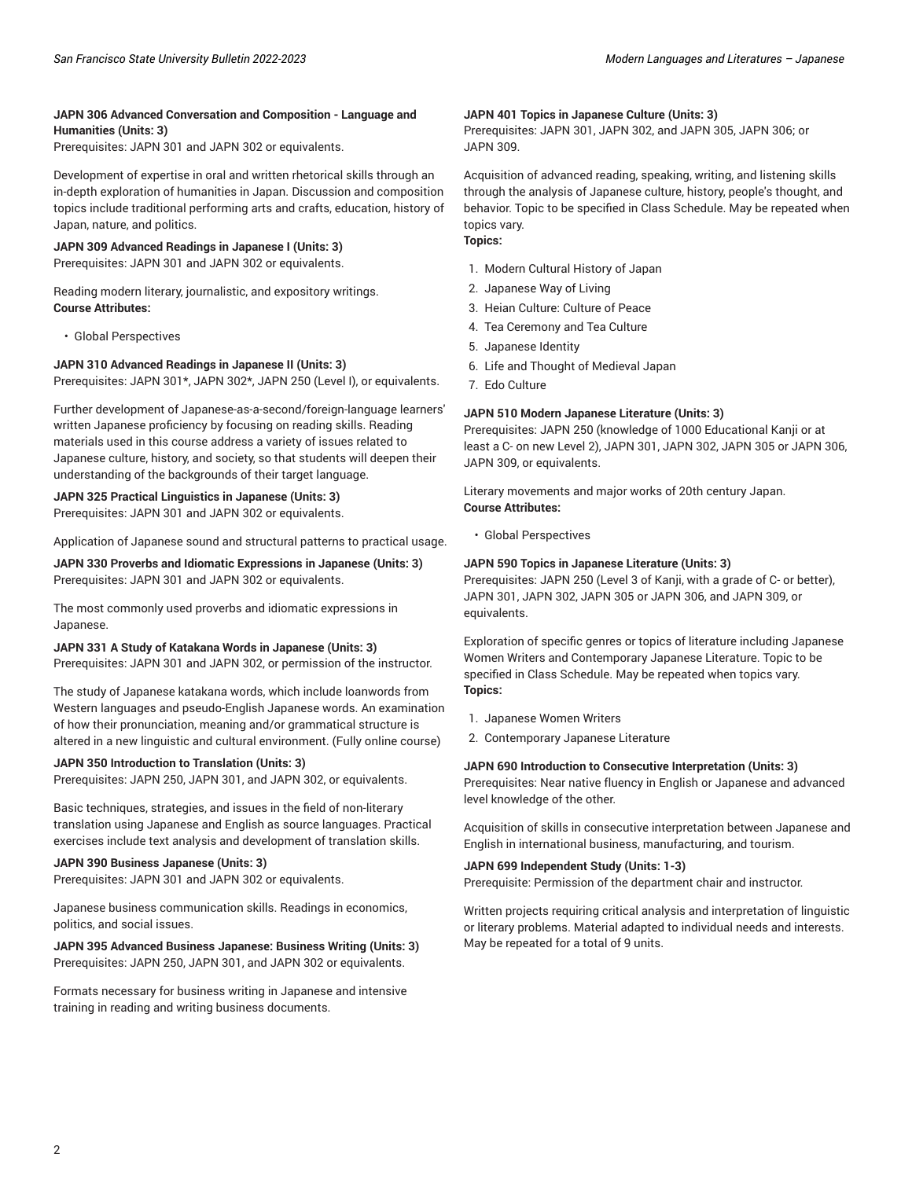#### **JAPN 306 Advanced Conversation and Composition - Language and Humanities (Units: 3)**

Prerequisites: JAPN 301 and JAPN 302 or equivalents.

Development of expertise in oral and written rhetorical skills through an in-depth exploration of humanities in Japan. Discussion and composition topics include traditional performing arts and crafts, education, history of Japan, nature, and politics.

#### **JAPN 309 Advanced Readings in Japanese I (Units: 3)**

Prerequisites: JAPN 301 and JAPN 302 or equivalents.

Reading modern literary, journalistic, and expository writings. **Course Attributes:**

• Global Perspectives

#### **JAPN 310 Advanced Readings in Japanese II (Units: 3)**

Prerequisites: JAPN 301\*, JAPN 302\*, JAPN 250 (Level I), or equivalents.

Further development of Japanese-as-a-second/foreign-language learners' written Japanese proficiency by focusing on reading skills. Reading materials used in this course address a variety of issues related to Japanese culture, history, and society, so that students will deepen their understanding of the backgrounds of their target language.

#### **JAPN 325 Practical Linguistics in Japanese (Units: 3)**

Prerequisites: JAPN 301 and JAPN 302 or equivalents.

Application of Japanese sound and structural patterns to practical usage.

**JAPN 330 Proverbs and Idiomatic Expressions in Japanese (Units: 3)** Prerequisites: JAPN 301 and JAPN 302 or equivalents.

The most commonly used proverbs and idiomatic expressions in Japanese.

#### **JAPN 331 A Study of Katakana Words in Japanese (Units: 3)**

Prerequisites: JAPN 301 and JAPN 302, or permission of the instructor.

The study of Japanese katakana words, which include loanwords from Western languages and pseudo-English Japanese words. An examination of how their pronunciation, meaning and/or grammatical structure is altered in a new linguistic and cultural environment. (Fully online course)

#### **JAPN 350 Introduction to Translation (Units: 3)**

Prerequisites: JAPN 250, JAPN 301, and JAPN 302, or equivalents.

Basic techniques, strategies, and issues in the field of non-literary translation using Japanese and English as source languages. Practical exercises include text analysis and development of translation skills.

#### **JAPN 390 Business Japanese (Units: 3)**

Prerequisites: JAPN 301 and JAPN 302 or equivalents.

Japanese business communication skills. Readings in economics, politics, and social issues.

**JAPN 395 Advanced Business Japanese: Business Writing (Units: 3)** Prerequisites: JAPN 250, JAPN 301, and JAPN 302 or equivalents.

Formats necessary for business writing in Japanese and intensive training in reading and writing business documents.

#### **JAPN 401 Topics in Japanese Culture (Units: 3)**

Prerequisites: JAPN 301, JAPN 302, and JAPN 305, JAPN 306; or JAPN 309.

Acquisition of advanced reading, speaking, writing, and listening skills through the analysis of Japanese culture, history, people's thought, and behavior. Topic to be specified in Class Schedule. May be repeated when topics vary.

### **Topics:**

- 1. Modern Cultural History of Japan
- 2. Japanese Way of Living
- 3. Heian Culture: Culture of Peace
- 4. Tea Ceremony and Tea Culture
- 5. Japanese Identity
- 6. Life and Thought of Medieval Japan
- 7. Edo Culture

#### **JAPN 510 Modern Japanese Literature (Units: 3)**

Prerequisites: JAPN 250 (knowledge of 1000 Educational Kanji or at least a C- on new Level 2), JAPN 301, JAPN 302, JAPN 305 or JAPN 306, JAPN 309, or equivalents.

Literary movements and major works of 20th century Japan. **Course Attributes:**

• Global Perspectives

#### **JAPN 590 Topics in Japanese Literature (Units: 3)**

Prerequisites: JAPN 250 (Level 3 of Kanji, with a grade of C- or better), JAPN 301, JAPN 302, JAPN 305 or JAPN 306, and JAPN 309, or equivalents.

Exploration of specific genres or topics of literature including Japanese Women Writers and Contemporary Japanese Literature. Topic to be specified in Class Schedule. May be repeated when topics vary. **Topics:**

- 1. Japanese Women Writers
- 2. Contemporary Japanese Literature

#### **JAPN 690 Introduction to Consecutive Interpretation (Units: 3)**

Prerequisites: Near native fluency in English or Japanese and advanced level knowledge of the other.

Acquisition of skills in consecutive interpretation between Japanese and English in international business, manufacturing, and tourism.

#### **JAPN 699 Independent Study (Units: 1-3)**

Prerequisite: Permission of the department chair and instructor.

Written projects requiring critical analysis and interpretation of linguistic or literary problems. Material adapted to individual needs and interests. May be repeated for a total of 9 units.